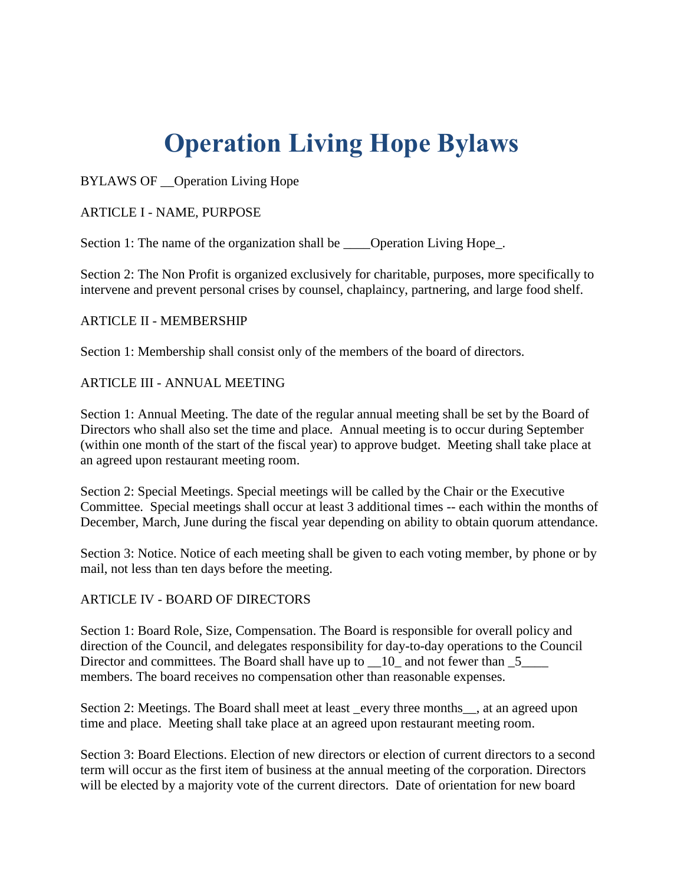# **Operation Living Hope Bylaws**

BYLAWS OF \_\_Operation Living Hope

ARTICLE I - NAME, PURPOSE

Section 1: The name of the organization shall be \_\_\_\_Operation Living Hope\_.

Section 2: The Non Profit is organized exclusively for charitable, purposes, more specifically to intervene and prevent personal crises by counsel, chaplaincy, partnering, and large food shelf.

# ARTICLE II - MEMBERSHIP

Section 1: Membership shall consist only of the members of the board of directors.

### ARTICLE III - ANNUAL MEETING

Section 1: Annual Meeting. The date of the regular annual meeting shall be set by the Board of Directors who shall also set the time and place. Annual meeting is to occur during September (within one month of the start of the fiscal year) to approve budget. Meeting shall take place at an agreed upon restaurant meeting room.

Section 2: Special Meetings. Special meetings will be called by the Chair or the Executive Committee. Special meetings shall occur at least 3 additional times -- each within the months of December, March, June during the fiscal year depending on ability to obtain quorum attendance.

Section 3: Notice. Notice of each meeting shall be given to each voting member, by phone or by mail, not less than ten days before the meeting.

### ARTICLE IV - BOARD OF DIRECTORS

Section 1: Board Role, Size, Compensation. The Board is responsible for overall policy and direction of the Council, and delegates responsibility for day-to-day operations to the Council Director and committees. The Board shall have up to \_\_10\_ and not fewer than \_5\_\_\_\_ members. The board receives no compensation other than reasonable expenses.

Section 2: Meetings. The Board shall meet at least \_every three months\_\_, at an agreed upon time and place. Meeting shall take place at an agreed upon restaurant meeting room.

Section 3: Board Elections. Election of new directors or election of current directors to a second term will occur as the first item of business at the annual meeting of the corporation. Directors will be elected by a majority vote of the current directors. Date of orientation for new board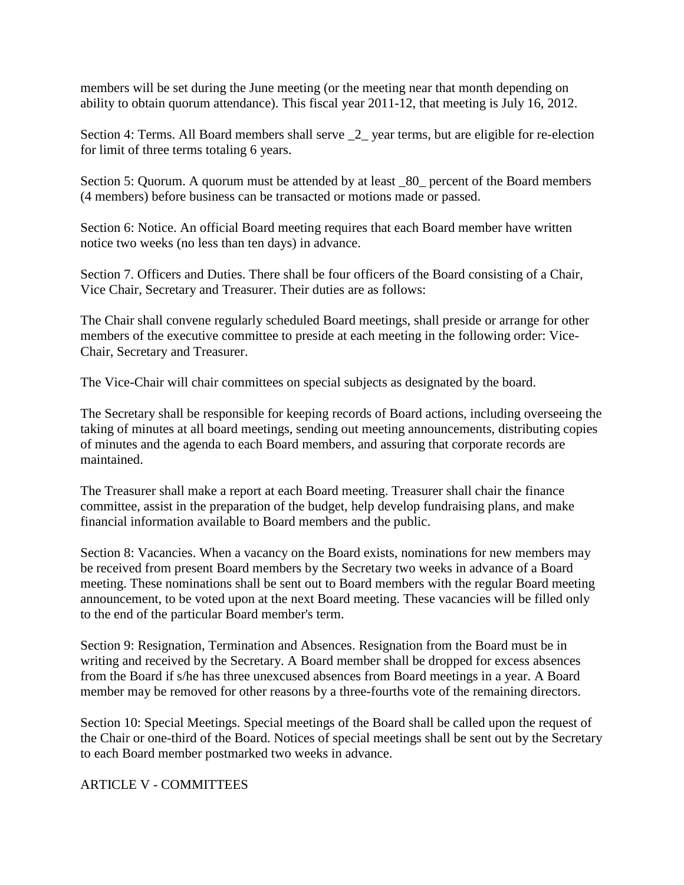members will be set during the June meeting (or the meeting near that month depending on ability to obtain quorum attendance). This fiscal year 2011-12, that meeting is July 16, 2012.

Section 4: Terms. All Board members shall serve  $\_2$  year terms, but are eligible for re-election for limit of three terms totaling 6 years.

Section 5: Quorum. A quorum must be attended by at least \_80\_ percent of the Board members (4 members) before business can be transacted or motions made or passed.

Section 6: Notice. An official Board meeting requires that each Board member have written notice two weeks (no less than ten days) in advance.

Section 7. Officers and Duties. There shall be four officers of the Board consisting of a Chair, Vice Chair, Secretary and Treasurer. Their duties are as follows:

The Chair shall convene regularly scheduled Board meetings, shall preside or arrange for other members of the executive committee to preside at each meeting in the following order: Vice-Chair, Secretary and Treasurer.

The Vice-Chair will chair committees on special subjects as designated by the board.

The Secretary shall be responsible for keeping records of Board actions, including overseeing the taking of minutes at all board meetings, sending out meeting announcements, distributing copies of minutes and the agenda to each Board members, and assuring that corporate records are maintained.

The Treasurer shall make a report at each Board meeting. Treasurer shall chair the finance committee, assist in the preparation of the budget, help develop fundraising plans, and make financial information available to Board members and the public.

Section 8: Vacancies. When a vacancy on the Board exists, nominations for new members may be received from present Board members by the Secretary two weeks in advance of a Board meeting. These nominations shall be sent out to Board members with the regular Board meeting announcement, to be voted upon at the next Board meeting. These vacancies will be filled only to the end of the particular Board member's term.

Section 9: Resignation, Termination and Absences. Resignation from the Board must be in writing and received by the Secretary. A Board member shall be dropped for excess absences from the Board if s/he has three unexcused absences from Board meetings in a year. A Board member may be removed for other reasons by a three-fourths vote of the remaining directors.

Section 10: Special Meetings. Special meetings of the Board shall be called upon the request of the Chair or one-third of the Board. Notices of special meetings shall be sent out by the Secretary to each Board member postmarked two weeks in advance.

ARTICLE V - COMMITTEES